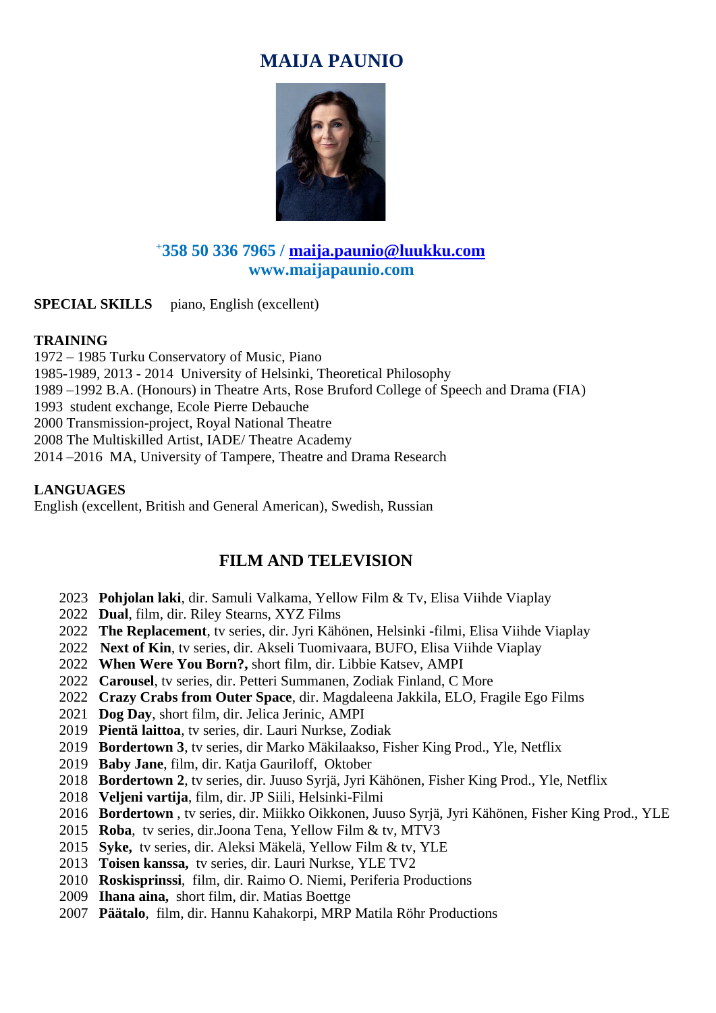# **MAIJA PAUNIO**



## **<sup>+</sup>358 50 336 7965 / [maija.paunio@luukku.com](mailto:maija.paunio@luukku.com) www.maijapaunio.com**

**SPECIAL SKILLS** piano, English (excellent)

### **TRAINING**

1972 – 1985 Turku Conservatory of Music, Piano 1985-1989, 2013 - 2014 University of Helsinki, Theoretical Philosophy 1989 –1992 B.A. (Honours) in Theatre Arts, Rose Bruford College of Speech and Drama (FIA) 1993 student exchange, Ecole Pierre Debauche 2000 Transmission-project, Royal National Theatre 2008 The Multiskilled Artist, IADE/ Theatre Academy 2014 –2016 MA, University of Tampere, Theatre and Drama Research

### **LANGUAGES**

English (excellent, British and General American), Swedish, Russian

# **FILM AND TELEVISION**

- 2023 **Pohjolan laki**, dir. Samuli Valkama, Yellow Film & Tv, Elisa Viihde Viaplay
- 2022 **Dual**, film, dir. Riley Stearns, XYZ Films
- 2022 **The Replacement**, tv series, dir. Jyri Kähönen, Helsinki -filmi, Elisa Viihde Viaplay
- 2022 **Next of Kin**, tv series, dir. Akseli Tuomivaara, BUFO, Elisa Viihde Viaplay
- 2022 **When Were You Born?,** short film, dir. Libbie Katsev, AMPI
- 2022 **Carousel**, tv series, dir. Petteri Summanen, Zodiak Finland, C More
- 2022 **Crazy Crabs from Outer Space**, dir. Magdaleena Jakkila, ELO, Fragile Ego Films
- 2021 **Dog Day**, short film, dir. Jelica Jerinic, AMPI
- 2019 **Pientä laittoa**, tv series, dir. Lauri Nurkse, Zodiak
- 2019 **Bordertown 3**, tv series, dir Marko Mäkilaakso, Fisher King Prod., Yle, Netflix
- 2019 **Baby Jane**, film, dir. Katja Gauriloff, Oktober
- 2018 **Bordertown 2**, tv series, dir. Juuso Syrjä, Jyri Kähönen, Fisher King Prod., Yle, Netflix
- 2018 **Veljeni vartija**, film, dir. JP Siili, Helsinki-Filmi
- 2016 **Bordertown** , tv series, dir. Miikko Oikkonen, Juuso Syrjä, Jyri Kähönen, Fisher King Prod., YLE
- 2015 **Roba**, tv series, dir.Joona Tena, Yellow Film & tv, MTV3
- 2015 **Syke,** tv series, dir. Aleksi Mäkelä, Yellow Film & tv, YLE
- 2013 **Toisen kanssa,** tv series, dir. Lauri Nurkse, YLE TV2
- 2010 **Roskisprinssi**, film, dir. Raimo O. Niemi, Periferia Productions
- 2009 **Ihana aina,** short film, dir. Matias Boettge
- 2007 **Päätalo**, film, dir. Hannu Kahakorpi, MRP Matila Röhr Productions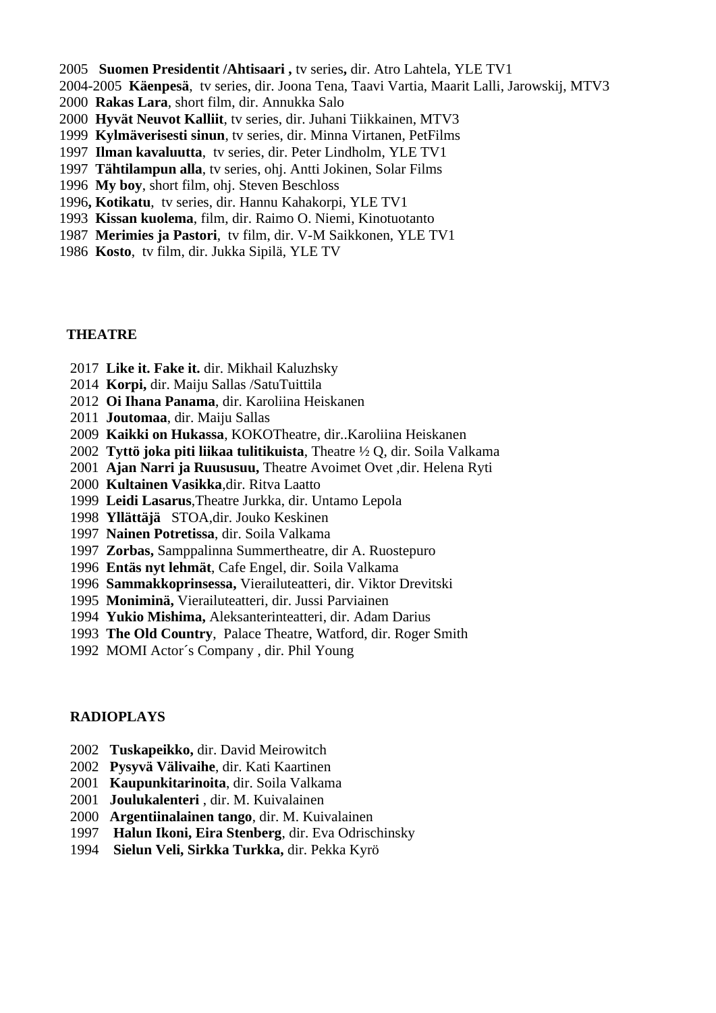- **Suomen Presidentit /Ahtisaari ,** tv series**,** dir. Atro Lahtela, YLE TV1
- 2004-2005 **Käenpesä**, tv series, dir. Joona Tena, Taavi Vartia, Maarit Lalli, Jarowskij, MTV3
- **Rakas Lara**, short film, dir. Annukka Salo
- **Hyvät Neuvot Kalliit**, tv series, dir. Juhani Tiikkainen, MTV3
- **Kylmäverisesti sinun**, tv series, dir. Minna Virtanen, PetFilms
- **Ilman kavaluutta**, tv series, dir. Peter Lindholm, YLE TV1
- **Tähtilampun alla**, tv series, ohj. Antti Jokinen, Solar Films
- **My boy**, short film, ohj. Steven Beschloss
- **, Kotikatu**, tv series, dir. Hannu Kahakorpi, YLE TV1
- **Kissan kuolema**, film, dir. Raimo O. Niemi, Kinotuotanto
- **Merimies ja Pastori**, tv film, dir. V-M Saikkonen, YLE TV1
- **Kosto**, tv film, dir. Jukka Sipilä, YLE TV

#### **THEATRE**

- **Like it. Fake it.** dir. Mikhail Kaluzhsky
- **Korpi,** dir. Maiju Sallas /SatuTuittila
- **Oi Ihana Panama**, dir. Karoliina Heiskanen
- **Joutomaa**, dir. Maiju Sallas
- **Kaikki on Hukassa**, KOKOTheatre, dir..Karoliina Heiskanen
- **Tyttö joka piti liikaa tulitikuista**, Theatre ½ Q, dir. Soila Valkama
- **Ajan Narri ja Ruususuu,** Theatre Avoimet Ovet ,dir. Helena Ryti
- **Kultainen Vasikka**,dir. Ritva Laatto
- **Leidi Lasarus**,Theatre Jurkka, dir. Untamo Lepola
- **Yllättäjä** STOA,dir. Jouko Keskinen
- **Nainen Potretissa**, dir. Soila Valkama
- **Zorbas,** Samppalinna Summertheatre, dir A. Ruostepuro
- **Entäs nyt lehmät**, Cafe Engel, dir. Soila Valkama
- **Sammakkoprinsessa,** Vierailuteatteri, dir. Viktor Drevitski
- **Moniminä,** Vierailuteatteri, dir. Jussi Parviainen
- **Yukio Mishima,** Aleksanterinteatteri, dir. Adam Darius
- **The Old Country**, Palace Theatre, Watford, dir. Roger Smith
- 1992 MOMI Actor´s Company , dir. Phil Young

#### **RADIOPLAYS**

- **Tuskapeikko,** dir. David Meirowitch
- **Pysyvä Välivaihe**, dir. Kati Kaartinen
- **Kaupunkitarinoita**, dir. Soila Valkama
- **Joulukalenteri** , dir. M. Kuivalainen
- **Argentiinalainen tango**, dir. M. Kuivalainen
- **Halun Ikoni, Eira Stenberg**, dir. Eva Odrischinsky
- **Sielun Veli, Sirkka Turkka,** dir. Pekka Kyrö